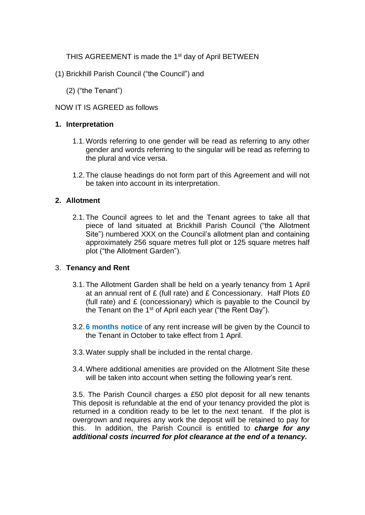THIS AGREEMENT is made the 1<sup>st</sup> day of April BETWEEN

- (1) Brickhill Parish Council ("the Council") and
	- (2) ("the Tenant")

# NOW IT IS AGREED as follows

# **1. Interpretation**

- 1.1.Words referring to one gender will be read as referring to any other gender and words referring to the singular will be read as referring to the plural and vice versa.
- 1.2.The clause headings do not form part of this Agreement and will not be taken into account in its interpretation.

# **2. Allotment**

2.1.The Council agrees to let and the Tenant agrees to take all that piece of land situated at Brickhill Parish Council ("the Allotment Site") numbered XXX on the Council's allotment plan and containing approximately 256 square metres full plot or 125 square metres half plot ("the Allotment Garden").

# 3. **Tenancy and Rent**

- 3.1.The Allotment Garden shall be held on a yearly tenancy from 1 April at an annual rent of £ (full rate) and £ Concessionary. Half Plots £0 (full rate) and  $E$  (concessionary) which is payable to the Council by the Tenant on the 1<sup>st</sup> of April each year ("the Rent Day").
- 3.2.**6 months notice** of any rent increase will be given by the Council to the Tenant in October to take effect from 1 April.
- 3.3.Water supply shall be included in the rental charge.
- 3.4.Where additional amenities are provided on the Allotment Site these will be taken into account when setting the following year's rent.

3.5. The Parish Council charges a £50 plot deposit for all new tenants This deposit is refundable at the end of your tenancy provided the plot is returned in a condition ready to be let to the next tenant. If the plot is overgrown and requires any work the deposit will be retained to pay for this. In addition, the Parish Council is entitled to *charge for any additional costs incurred for plot clearance at the end of a tenancy.*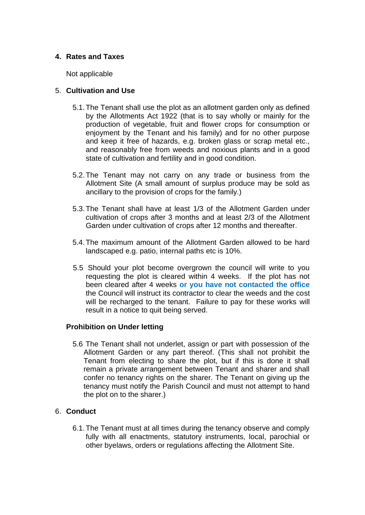# **4. Rates and Taxes**

Not applicable

# 5. **Cultivation and Use**

- 5.1.The Tenant shall use the plot as an allotment garden only as defined by the Allotments Act 1922 (that is to say wholly or mainly for the production of vegetable, fruit and flower crops for consumption or enjoyment by the Tenant and his family) and for no other purpose and keep it free of hazards, e.g. broken glass or scrap metal etc., and reasonably free from weeds and noxious plants and in a good state of cultivation and fertility and in good condition.
- 5.2.The Tenant may not carry on any trade or business from the Allotment Site (A small amount of surplus produce may be sold as ancillary to the provision of crops for the family.)
- 5.3.The Tenant shall have at least 1/3 of the Allotment Garden under cultivation of crops after 3 months and at least 2/3 of the Allotment Garden under cultivation of crops after 12 months and thereafter.
- 5.4.The maximum amount of the Allotment Garden allowed to be hard landscaped e.g. patio, internal paths etc is 10%.
- 5.5 Should your plot become overgrown the council will write to you requesting the plot is cleared within 4 weeks. If the plot has not been cleared after 4 weeks **or you have not contacted the office** the Council will instruct its contractor to clear the weeds and the cost will be recharged to the tenant. Failure to pay for these works will result in a notice to quit being served.

# **Prohibition on Under letting**

5.6 The Tenant shall not underlet, assign or part with possession of the Allotment Garden or any part thereof. (This shall not prohibit the Tenant from electing to share the plot, but if this is done it shall remain a private arrangement between Tenant and sharer and shall confer no tenancy rights on the sharer. The Tenant on giving up the tenancy must notify the Parish Council and must not attempt to hand the plot on to the sharer.)

# 6. **Conduct**

6.1.The Tenant must at all times during the tenancy observe and comply fully with all enactments, statutory instruments, local, parochial or other byelaws, orders or regulations affecting the Allotment Site.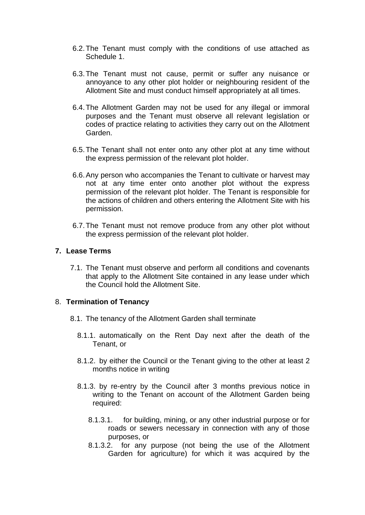- 6.2.The Tenant must comply with the conditions of use attached as Schedule 1.
- 6.3.The Tenant must not cause, permit or suffer any nuisance or annoyance to any other plot holder or neighbouring resident of the Allotment Site and must conduct himself appropriately at all times.
- 6.4.The Allotment Garden may not be used for any illegal or immoral purposes and the Tenant must observe all relevant legislation or codes of practice relating to activities they carry out on the Allotment Garden.
- 6.5.The Tenant shall not enter onto any other plot at any time without the express permission of the relevant plot holder.
- 6.6.Any person who accompanies the Tenant to cultivate or harvest may not at any time enter onto another plot without the express permission of the relevant plot holder. The Tenant is responsible for the actions of children and others entering the Allotment Site with his permission.
- 6.7.The Tenant must not remove produce from any other plot without the express permission of the relevant plot holder.

## **7. Lease Terms**

7.1. The Tenant must observe and perform all conditions and covenants that apply to the Allotment Site contained in any lease under which the Council hold the Allotment Site.

#### 8. **Termination of Tenancy**

- 8.1. The tenancy of the Allotment Garden shall terminate
	- 8.1.1. automatically on the Rent Day next after the death of the Tenant, or
	- 8.1.2. by either the Council or the Tenant giving to the other at least 2 months notice in writing
	- 8.1.3. by re-entry by the Council after 3 months previous notice in writing to the Tenant on account of the Allotment Garden being required:
		- 8.1.3.1. for building, mining, or any other industrial purpose or for roads or sewers necessary in connection with any of those purposes, or
		- 8.1.3.2. for any purpose (not being the use of the Allotment Garden for agriculture) for which it was acquired by the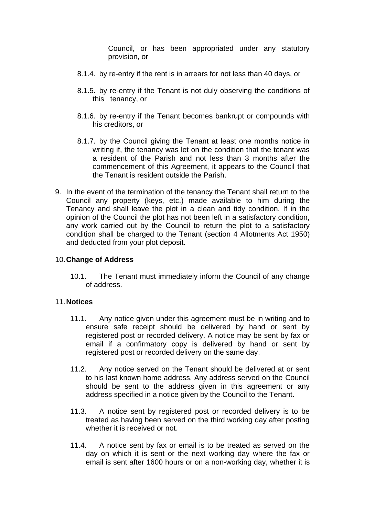Council, or has been appropriated under any statutory provision, or

- 8.1.4. by re-entry if the rent is in arrears for not less than 40 days, or
- 8.1.5. by re-entry if the Tenant is not duly observing the conditions of this tenancy, or
- 8.1.6. by re-entry if the Tenant becomes bankrupt or compounds with his creditors, or
- 8.1.7. by the Council giving the Tenant at least one months notice in writing if, the tenancy was let on the condition that the tenant was a resident of the Parish and not less than 3 months after the commencement of this Agreement, it appears to the Council that the Tenant is resident outside the Parish.
- 9. In the event of the termination of the tenancy the Tenant shall return to the Council any property (keys, etc.) made available to him during the Tenancy and shall leave the plot in a clean and tidy condition. If in the opinion of the Council the plot has not been left in a satisfactory condition, any work carried out by the Council to return the plot to a satisfactory condition shall be charged to the Tenant (section 4 Allotments Act 1950) and deducted from your plot deposit.

# 10.**Change of Address**

10.1. The Tenant must immediately inform the Council of any change of address.

### 11.**Notices**

- 11.1. Any notice given under this agreement must be in writing and to ensure safe receipt should be delivered by hand or sent by registered post or recorded delivery. A notice may be sent by fax or email if a confirmatory copy is delivered by hand or sent by registered post or recorded delivery on the same day.
- 11.2. Any notice served on the Tenant should be delivered at or sent to his last known home address. Any address served on the Council should be sent to the address given in this agreement or any address specified in a notice given by the Council to the Tenant.
- 11.3. A notice sent by registered post or recorded delivery is to be treated as having been served on the third working day after posting whether it is received or not.
- 11.4. A notice sent by fax or email is to be treated as served on the day on which it is sent or the next working day where the fax or email is sent after 1600 hours or on a non-working day, whether it is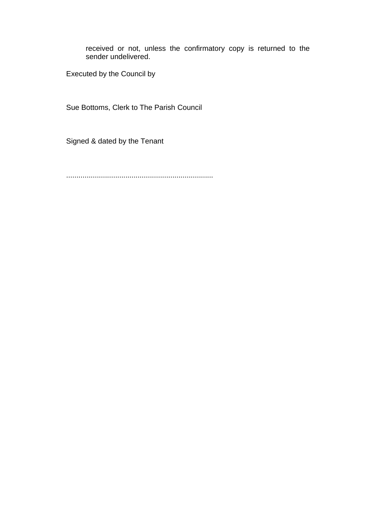received or not, unless the confirmatory copy is returned to the sender undelivered.

Executed by the Council by

Sue Bottoms, Clerk to The Parish Council

Signed & dated by the Tenant

........................................................................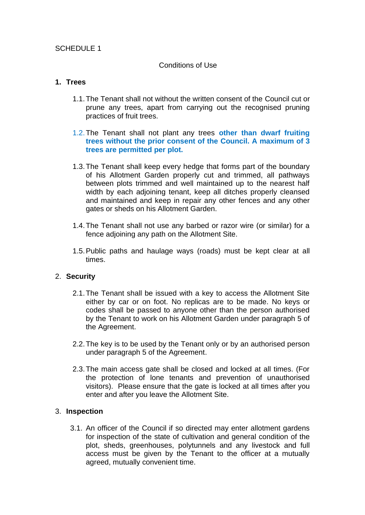# SCHEDULE 1

### Conditions of Use

# **1. Trees**

- 1.1.The Tenant shall not without the written consent of the Council cut or prune any trees, apart from carrying out the recognised pruning practices of fruit trees.
- 1.2.The Tenant shall not plant any trees **other than dwarf fruiting trees without the prior consent of the Council. A maximum of 3 trees are permitted per plot.**
- 1.3.The Tenant shall keep every hedge that forms part of the boundary of his Allotment Garden properly cut and trimmed, all pathways between plots trimmed and well maintained up to the nearest half width by each adjoining tenant, keep all ditches properly cleansed and maintained and keep in repair any other fences and any other gates or sheds on his Allotment Garden.
- 1.4.The Tenant shall not use any barbed or razor wire (or similar) for a fence adjoining any path on the Allotment Site.
- 1.5.Public paths and haulage ways (roads) must be kept clear at all times.

### 2. **Security**

- 2.1.The Tenant shall be issued with a key to access the Allotment Site either by car or on foot. No replicas are to be made. No keys or codes shall be passed to anyone other than the person authorised by the Tenant to work on his Allotment Garden under paragraph 5 of the Agreement.
- 2.2.The key is to be used by the Tenant only or by an authorised person under paragraph 5 of the Agreement.
- 2.3.The main access gate shall be closed and locked at all times. (For the protection of lone tenants and prevention of unauthorised visitors). Please ensure that the gate is locked at all times after you enter and after you leave the Allotment Site.

### 3. **Inspection**

3.1. An officer of the Council if so directed may enter allotment gardens for inspection of the state of cultivation and general condition of the plot, sheds, greenhouses, polytunnels and any livestock and full access must be given by the Tenant to the officer at a mutually agreed, mutually convenient time.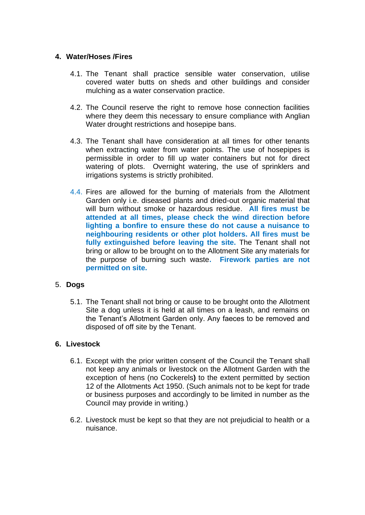# **4. Water/Hoses /Fires**

- 4.1. The Tenant shall practice sensible water conservation, utilise covered water butts on sheds and other buildings and consider mulching as a water conservation practice.
- 4.2. The Council reserve the right to remove hose connection facilities where they deem this necessary to ensure compliance with Anglian Water drought restrictions and hosepipe bans.
- 4.3. The Tenant shall have consideration at all times for other tenants when extracting water from water points. The use of hosepipes is permissible in order to fill up water containers but not for direct watering of plots. Overnight watering, the use of sprinklers and irrigations systems is strictly prohibited.
- 4.4. Fires are allowed for the burning of materials from the Allotment Garden only i.e. diseased plants and dried-out organic material that will burn without smoke or hazardous residue. **All fires must be attended at all times, please check the wind direction before lighting a bonfire to ensure these do not cause a nuisance to neighbouring residents or other plot holders. All fires must be fully extinguished before leaving the site.** The Tenant shall not bring or allow to be brought on to the Allotment Site any materials for the purpose of burning such waste**. Firework parties are not permitted on site.**

# 5. **Dogs**

5.1. The Tenant shall not bring or cause to be brought onto the Allotment Site a dog unless it is held at all times on a leash, and remains on the Tenant's Allotment Garden only. Any faeces to be removed and disposed of off site by the Tenant.

### **6. Livestock**

- 6.1. Except with the prior written consent of the Council the Tenant shall not keep any animals or livestock on the Allotment Garden with the exception of hens (no Cockerels**)** to the extent permitted by section 12 of the Allotments Act 1950. (Such animals not to be kept for trade or business purposes and accordingly to be limited in number as the Council may provide in writing.)
- 6.2. Livestock must be kept so that they are not prejudicial to health or a nuisance.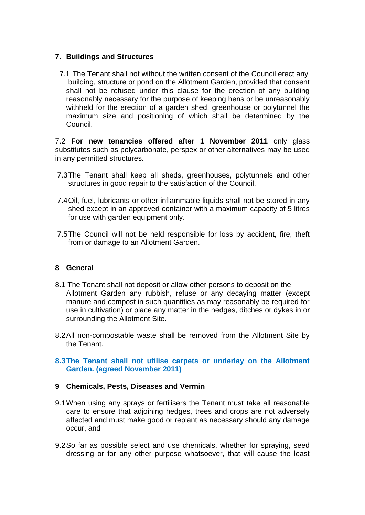# **7. Buildings and Structures**

7.1 The Tenant shall not without the written consent of the Council erect any building, structure or pond on the Allotment Garden, provided that consent shall not be refused under this clause for the erection of any building reasonably necessary for the purpose of keeping hens or be unreasonably withheld for the erection of a garden shed, greenhouse or polytunnel the maximum size and positioning of which shall be determined by the Council.

7.2 **For new tenancies offered after 1 November 2011** only glass substitutes such as polycarbonate, perspex or other alternatives may be used in any permitted structures.

- 7.3The Tenant shall keep all sheds, greenhouses, polytunnels and other structures in good repair to the satisfaction of the Council.
- 7.4Oil, fuel, lubricants or other inflammable liquids shall not be stored in any shed except in an approved container with a maximum capacity of 5 litres for use with garden equipment only.
- 7.5The Council will not be held responsible for loss by accident, fire, theft from or damage to an Allotment Garden.

# **8 General**

- 8.1 The Tenant shall not deposit or allow other persons to deposit on the Allotment Garden any rubbish, refuse or any decaying matter (except manure and compost in such quantities as may reasonably be required for use in cultivation) or place any matter in the hedges, ditches or dykes in or surrounding the Allotment Site.
- 8.2All non-compostable waste shall be removed from the Allotment Site by the Tenant.

# **8.3The Tenant shall not utilise carpets or underlay on the Allotment Garden. (agreed November 2011)**

# **9 Chemicals, Pests, Diseases and Vermin**

- 9.1When using any sprays or fertilisers the Tenant must take all reasonable care to ensure that adjoining hedges, trees and crops are not adversely affected and must make good or replant as necessary should any damage occur, and
- 9.2So far as possible select and use chemicals, whether for spraying, seed dressing or for any other purpose whatsoever, that will cause the least